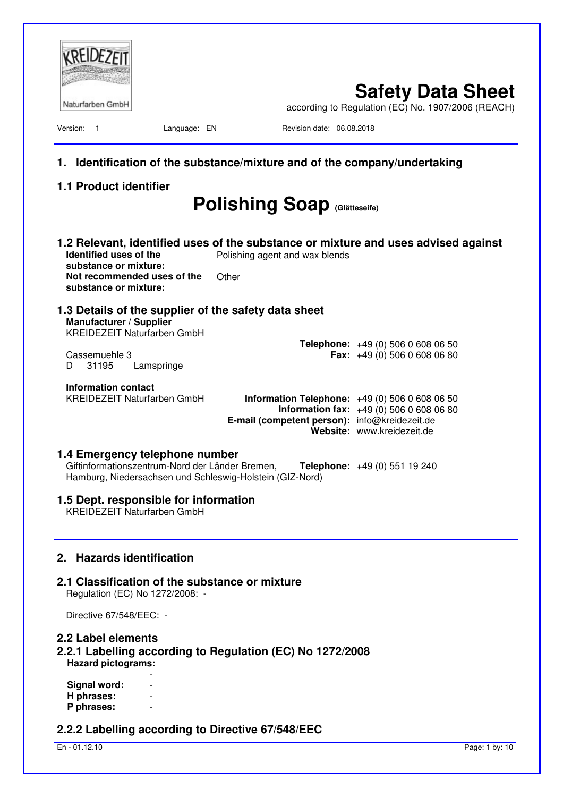| Naturfarben GmbH                                                                                                                                                                              |                                                                                                    | <b>Safety Data Sheet</b><br>according to Regulation (EC) No. 1907/2006 (REACH) |
|-----------------------------------------------------------------------------------------------------------------------------------------------------------------------------------------------|----------------------------------------------------------------------------------------------------|--------------------------------------------------------------------------------|
| Version: 1<br>Language: EN                                                                                                                                                                    | Revision date: 06.08.2018                                                                          |                                                                                |
| 1.                                                                                                                                                                                            | Identification of the substance/mixture and of the company/undertaking                             |                                                                                |
| <b>1.1 Product identifier</b>                                                                                                                                                                 |                                                                                                    |                                                                                |
|                                                                                                                                                                                               | <b>Polishing Soap (Glätteseife)</b>                                                                |                                                                                |
| 1.2 Relevant, identified uses of the substance or mixture and uses advised against<br>Identified uses of the<br>substance or mixture:<br>Not recommended uses of the<br>substance or mixture: | Polishing agent and wax blends<br>Other                                                            |                                                                                |
| 1.3 Details of the supplier of the safety data sheet<br>Manufacturer / Supplier<br><b>KREIDEZEIT Naturfarben GmbH</b>                                                                         |                                                                                                    |                                                                                |
| Cassemuehle 3<br>31195<br>Lamspringe<br>D                                                                                                                                                     |                                                                                                    | <b>Telephone:</b> $+49(0)50606080650$<br><b>Fax:</b> $+49(0)$ 506 0 608 06 80  |
| Information contact<br><b>KREIDEZEIT Naturfarben GmbH</b>                                                                                                                                     | <b>Information Telephone:</b> $+49(0)50606080650$<br>E-mail (competent person): info@kreidezeit.de | <b>Information fax:</b> $+49(0)50606080680$<br>Website: www.kreidezeit.de      |
| 1.4 Emergency telephone number<br>Giftinformationszentrum-Nord der Länder Bremen,<br>Hamburg, Niedersachsen und Schleswig-Holstein (GIZ-Nord)                                                 |                                                                                                    | Telephone: +49 (0) 551 19 240                                                  |
| 1.5 Dept. responsible for information<br><b>KREIDEZEIT Naturfarben GmbH</b>                                                                                                                   |                                                                                                    |                                                                                |
| 2. Hazards identification<br>2.1 Classification of the substance or mixture<br>Regulation (EC) No 1272/2008: -                                                                                |                                                                                                    |                                                                                |
| Directive 67/548/EEC: -                                                                                                                                                                       |                                                                                                    |                                                                                |
| 2.2 Label elements<br>2.2.1 Labelling according to Regulation (EC) No 1272/2008<br><b>Hazard pictograms:</b>                                                                                  |                                                                                                    |                                                                                |
| Signal word:<br>H phrases:<br>P phrases:                                                                                                                                                      |                                                                                                    |                                                                                |
| 2.2.2 Labelling according to Directive 67/548/EEC                                                                                                                                             |                                                                                                    |                                                                                |

En - 01.12.10 Page: 1 by: 10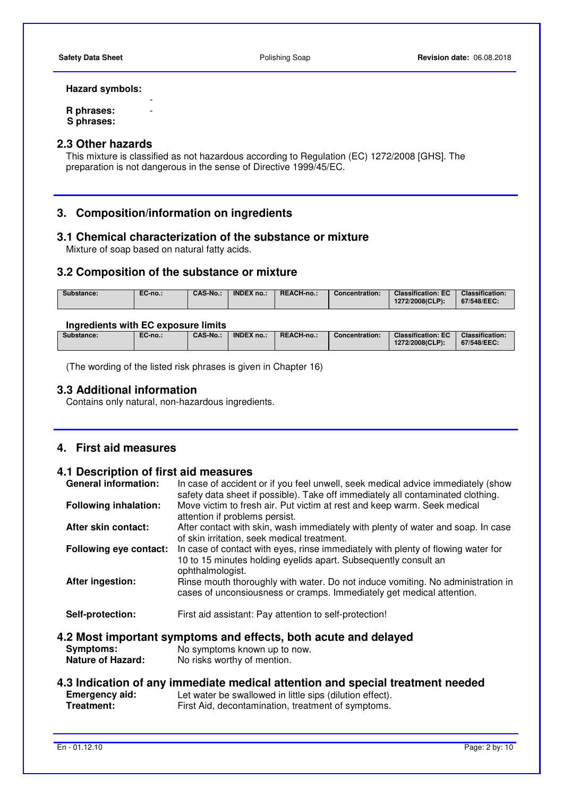## **Hazard symbols:**

**- All and All and All and All and All R phrases:** - **S phrases:** 

# **2.3 Other hazards**

 This mixture is classified as not hazardous according to Regulation (EC) 1272/2008 [GHS]. The preparation is not dangerous in the sense of Directive 1999/45/EC.

# **3. Composition/information on ingredients**

# **3.1 Chemical characterization of the substance or mixture**

Mixture of soap based on natural fatty acids.

# **3.2 Composition of the substance or mixture**

| CAS-No.:<br>EC-no.:<br>Substance: | <b>INDEX no.:</b><br>REACH-no | Concentration: | <b>Classification: EC</b><br>1272/2008(CLP): | <b>Classification:</b><br>67/548/EEC: |
|-----------------------------------|-------------------------------|----------------|----------------------------------------------|---------------------------------------|
|-----------------------------------|-------------------------------|----------------|----------------------------------------------|---------------------------------------|

#### **Ingredients with EC exposure limits**

| <b>Classification:</b><br><b>CAS-No.:</b><br>REACH-no.:<br><b>INDEX no.:</b><br><b>Classification: EC</b><br>EC-no.:<br>Substance:<br>Concentration:<br>1272/2008(CLP):<br>67/548/EEC: |  |  |  |  |
|----------------------------------------------------------------------------------------------------------------------------------------------------------------------------------------|--|--|--|--|
|                                                                                                                                                                                        |  |  |  |  |

(The wording of the listed risk phrases is given in Chapter 16)

# **3.3 Additional information**

Contains only natural, non-hazardous ingredients.

# **4. First aid measures**

# **4.1 Description of first aid measures**

| <b>General information:</b>                  | In case of accident or if you feel unwell, seek medical advice immediately (show<br>safety data sheet if possible). Take off immediately all contaminated clothing.     |
|----------------------------------------------|-------------------------------------------------------------------------------------------------------------------------------------------------------------------------|
| <b>Following inhalation:</b>                 | Move victim to fresh air. Put victim at rest and keep warm. Seek medical<br>attention if problems persist.                                                              |
| After skin contact:                          | After contact with skin, wash immediately with plenty of water and soap. In case<br>of skin irritation, seek medical treatment.                                         |
| <b>Following eye contact:</b>                | In case of contact with eyes, rinse immediately with plenty of flowing water for<br>10 to 15 minutes holding eyelids apart. Subsequently consult an<br>ophthalmologist. |
| After ingestion:                             | Rinse mouth thoroughly with water. Do not induce vomiting. No administration in<br>cases of unconsiousness or cramps. Immediately get medical attention.                |
| Self-protection:                             | First aid assistant: Pay attention to self-protection!                                                                                                                  |
| <b>Symptoms:</b><br><b>Nature of Hazard:</b> | 4.2 Most important symptoms and effects, both acute and delayed<br>No symptoms known up to now.<br>No risks worthy of mention.                                          |
| Emergency aid:                               | 4.3 Indication of any immediate medical attention and special treatment needed<br>Let water he swallowed in little sins (dilution effect)                               |

**Emergency aid:** Let water be swallowed in little sips (dilution effect). **Treatment:** First Aid, decontamination, treatment of symptoms.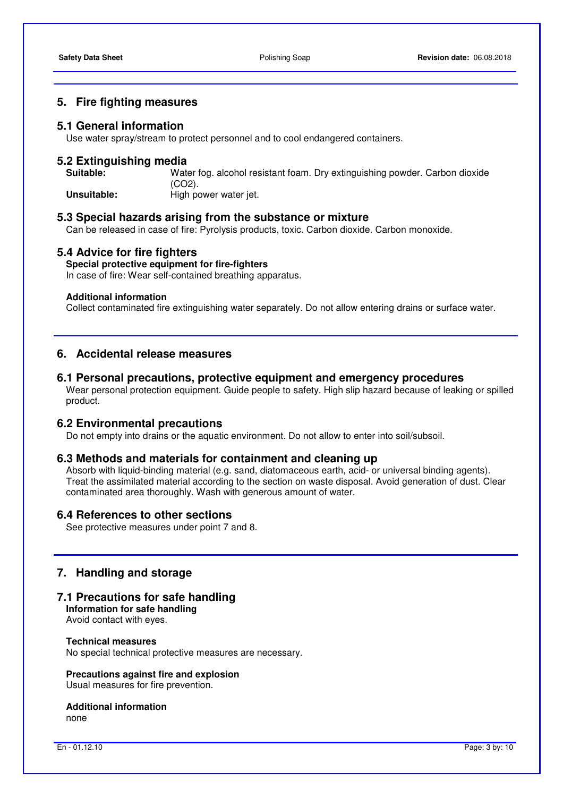#### **5. Fire fighting measures**

#### **5.1 General information**

Use water spray/stream to protect personnel and to cool endangered containers.

# **5.2 Extinguishing media**

Water fog. alcohol resistant foam. Dry extinguishing powder. Carbon dioxide (CO2). **Unsuitable: High power water jet.** 

# **5.3 Special hazards arising from the substance or mixture**

Can be released in case of fire: Pyrolysis products, toxic. Carbon dioxide. Carbon monoxide.

#### **5.4 Advice for fire fighters**

# **Special protective equipment for fire-fighters**

In case of fire: Wear self-contained breathing apparatus.

#### **Additional information**

Collect contaminated fire extinguishing water separately. Do not allow entering drains or surface water.

# **6. Accidental release measures**

# **6.1 Personal precautions, protective equipment and emergency procedures**

 Wear personal protection equipment. Guide people to safety. High slip hazard because of leaking or spilled product.

# **6.2 Environmental precautions**

Do not empty into drains or the aquatic environment. Do not allow to enter into soil/subsoil.

#### **6.3 Methods and materials for containment and cleaning up**

 Absorb with liquid-binding material (e.g. sand, diatomaceous earth, acid- or universal binding agents). Treat the assimilated material according to the section on waste disposal. Avoid generation of dust. Clear contaminated area thoroughly. Wash with generous amount of water.

#### **6.4 References to other sections**

See protective measures under point 7 and 8.

# **7. Handling and storage**

# **7.1 Precautions for safe handling**

**Information for safe handling**  Avoid contact with eyes.

# **Technical measures**

No special technical protective measures are necessary.

#### **Precautions against fire and explosion**

Usual measures for fire prevention.

# **Additional information**

none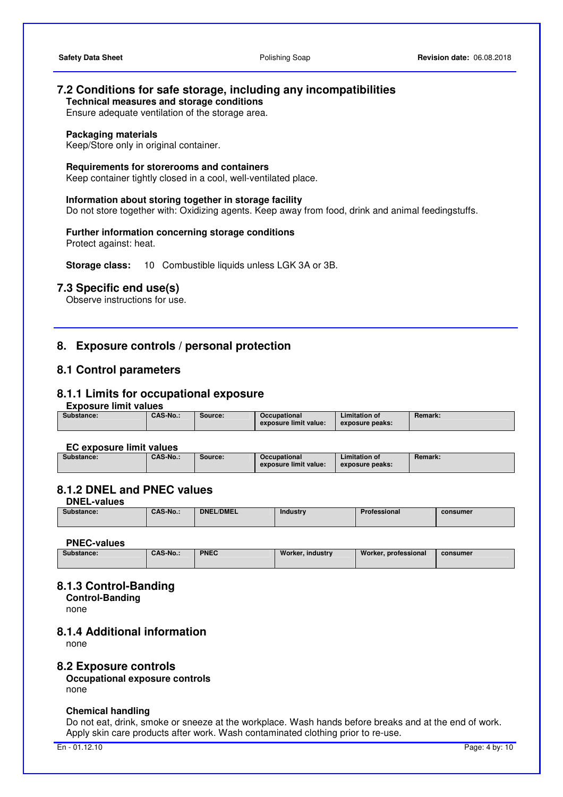# **7.2 Conditions for safe storage, including any incompatibilities**

**Technical measures and storage conditions** 

Ensure adequate ventilation of the storage area.

#### **Packaging materials**

Keep/Store only in original container.

#### **Requirements for storerooms and containers**

Keep container tightly closed in a cool, well-ventilated place.

#### **Information about storing together in storage facility**

Do not store together with: Oxidizing agents. Keep away from food, drink and animal feedingstuffs.

# **Further information concerning storage conditions**

Protect against: heat.

**Storage class:** 10 Combustible liquids unless LGK 3A or 3B.

# **7.3 Specific end use(s)**

Observe instructions for use.

# **8. Exposure controls / personal protection**

# **8.1 Control parameters**

## **8.1.1 Limits for occupational exposure**

#### **Exposure limit values**

| exposure limit value:<br>exposure peaks: | Substance: | <b>CAS-No.:</b> | Source: | Occupational | Limitation of | <b>Remark:</b> |
|------------------------------------------|------------|-----------------|---------|--------------|---------------|----------------|
|------------------------------------------|------------|-----------------|---------|--------------|---------------|----------------|

#### **EC exposure limit values**

| Substance: | <b>CAS-No.:</b> | Source: | Occupational          | Limitation of   | <b>Remark:</b> |
|------------|-----------------|---------|-----------------------|-----------------|----------------|
|            |                 |         | exposure limit value: | exposure peaks: |                |

# **8.1.2 DNEL and PNEC values**

**DNEL-values** 

| Substance:<br>. | CAS-No | <b>DNEL/DMEL</b> | Industry | <b>THA</b><br>rofessional | consumer<br>____ |
|-----------------|--------|------------------|----------|---------------------------|------------------|
|                 |        |                  |          |                           |                  |

#### **PNEC-values**

| ---------------- |                 |             |                  |                      |          |
|------------------|-----------------|-------------|------------------|----------------------|----------|
| Substance:       | <b>CAS-No.:</b> | <b>PNEC</b> | Worker, industry | Worker, professional | consumer |
|                  |                 |             |                  |                      |          |

# **8.1.3 Control-Banding**

**Control-Banding**  none

#### **8.1.4 Additional information**

none

#### **8.2 Exposure controls**

**Occupational exposure controls**  none

#### **Chemical handling**

 Do not eat, drink, smoke or sneeze at the workplace. Wash hands before breaks and at the end of work. Apply skin care products after work. Wash contaminated clothing prior to re-use.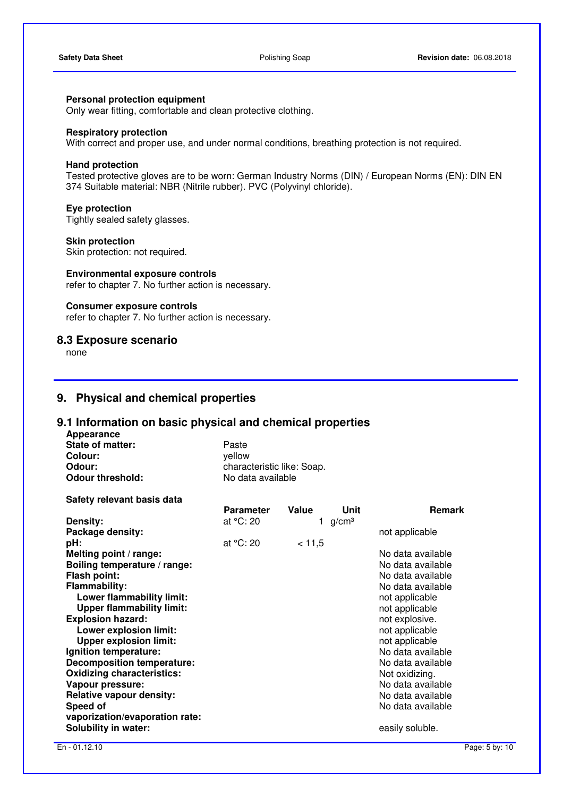# **Personal protection equipment**

Only wear fitting, comfortable and clean protective clothing.

#### **Respiratory protection**

With correct and proper use, and under normal conditions, breathing protection is not required.

#### **Hand protection**

 Tested protective gloves are to be worn: German Industry Norms (DIN) / European Norms (EN): DIN EN 374 Suitable material: NBR (Nitrile rubber). PVC (Polyvinyl chloride).

#### **Eye protection**

Tightly sealed safety glasses.

#### **Skin protection**

Skin protection: not required.

#### **Environmental exposure controls**

refer to chapter 7. No further action is necessary.

# **Consumer exposure controls**

refer to chapter 7. No further action is necessary.

# **8.3 Exposure scenario**

**Safety relevant basis data** 

none

# **9. Physical and chemical properties**

# **9.1 Information on basic physical and chemical properties**

| Appearance              |                            |
|-------------------------|----------------------------|
| State of matter:        | Paste                      |
| Colour:                 | vellow                     |
| Odour:                  | characteristic like: Soap. |
| <b>Odour threshold:</b> | No data available          |

|                                   | <b>Parameter</b> | Value  | Unit              | <b>Remark</b>     |
|-----------------------------------|------------------|--------|-------------------|-------------------|
| Density:                          | at °C: 20        |        | g/cm <sup>3</sup> |                   |
| Package density:                  |                  |        |                   | not applicable    |
| pH:                               | at $°C: 20$      | < 11.5 |                   |                   |
| Melting point / range:            |                  |        |                   | No data available |
| Boiling temperature / range:      |                  |        |                   | No data available |
| Flash point:                      |                  |        |                   | No data available |
| <b>Flammability:</b>              |                  |        |                   | No data available |
| Lower flammability limit:         |                  |        |                   | not applicable    |
| <b>Upper flammability limit:</b>  |                  |        |                   | not applicable    |
| <b>Explosion hazard:</b>          |                  |        |                   | not explosive.    |
| Lower explosion limit:            |                  |        |                   | not applicable    |
| <b>Upper explosion limit:</b>     |                  |        |                   | not applicable    |
| Ignition temperature:             |                  |        |                   | No data available |
| <b>Decomposition temperature:</b> |                  |        |                   | No data available |
| <b>Oxidizing characteristics:</b> |                  |        |                   | Not oxidizing.    |
| Vapour pressure:                  |                  |        |                   | No data available |
| <b>Relative vapour density:</b>   |                  |        |                   | No data available |
| Speed of                          |                  |        |                   | No data available |
| vaporization/evaporation rate:    |                  |        |                   |                   |
| <b>Solubility in water:</b>       |                  |        |                   | easily soluble.   |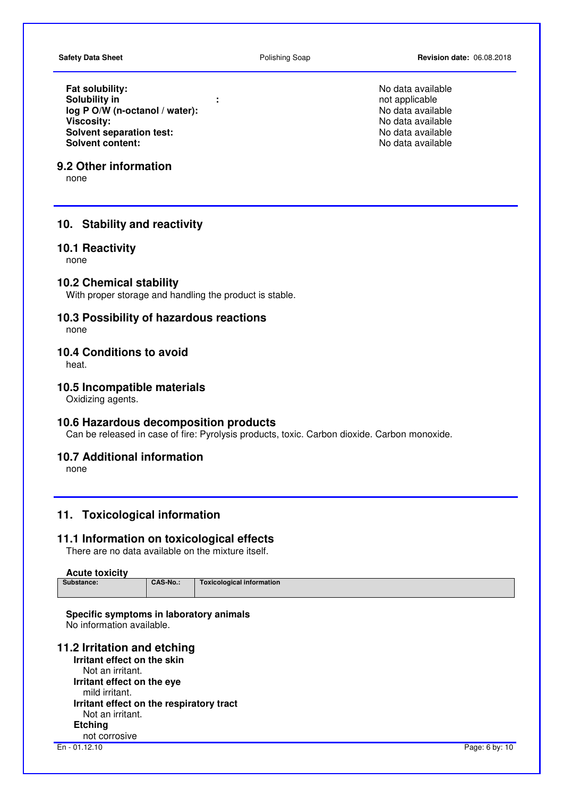**Fat solubility:**<br> **Solubility in**<br> **Solubility in**<br> **Solubility in**<br> **Solubility in Solubility in**<br> **log P O/W (n-octanol / water):**<br> **log P O/W (n-octanol / water):**<br> **log P O/W (n-octanol / water):** log P O/W (n-octanol / water): **Viscosity: No data available No data available No data available No data available Solvent separation test: No data available Solvent content: No data available Solvent content: No data available Solvent content:** 

# **9.2 Other information**

none

# **10. Stability and reactivity**

#### **10.1 Reactivity**

none

# **10.2 Chemical stability**

With proper storage and handling the product is stable.

# **10.3 Possibility of hazardous reactions**

none

# **10.4 Conditions to avoid**

heat.

# **10.5 Incompatible materials**

Oxidizing agents.

### **10.6 Hazardous decomposition products**

Can be released in case of fire: Pyrolysis products, toxic. Carbon dioxide. Carbon monoxide.

# **10.7 Additional information**

none

# **11. Toxicological information**

### **11.1 Information on toxicological effects**

There are no data available on the mixture itself.

#### **Acute toxicity**

| Substance: | CAS-No | Toxicological information |
|------------|--------|---------------------------|
|            |        |                           |

#### **Specific symptoms in laboratory animals**  No information available.

# **11.2 Irritation and etching**

**Irritant effect on the skin**  Not an irritant. **Irritant effect on the eye** mild irritant. **Irritant effect on the respiratory tract** Not an irritant. **Etching**  not corrosive

En - 01.12.10 Page: 6 by: 10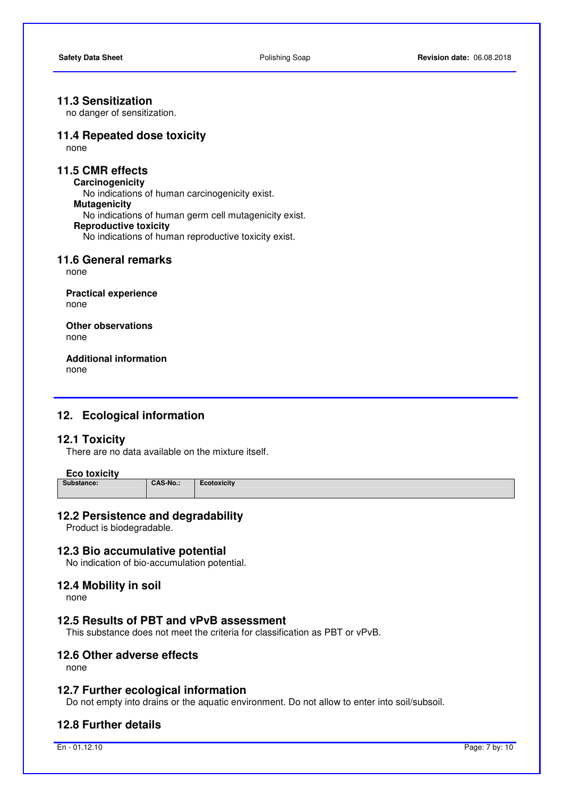# **11.3 Sensitization**

no danger of sensitization.

# **11.4 Repeated dose toxicity**

none

# **11.5 CMR effects**

**Carcinogenicity**  No indications of human carcinogenicity exist. **Mutagenicity**  No indications of human germ cell mutagenicity exist. **Reproductive toxicity**  No indications of human reproductive toxicity exist.

## **11.6 General remarks**

none

**Practical experience**  none

**Other observations** none

**Additional information**  none

# **12. Ecological information**

# **12.1 Toxicity**

There are no data available on the mixture itself.

# Eco toxicity<br>
Substance:

**Substance: CAS-No.: Ecotoxicity** 

# **12.2 Persistence and degradability**

Product is biodegradable.

#### **12.3 Bio accumulative potential**

No indication of bio-accumulation potential.

#### **12.4 Mobility in soil**

none

# **12.5 Results of PBT and vPvB assessment**

This substance does not meet the criteria for classification as PBT or vPvB.

### **12.6 Other adverse effects**

none

#### **12.7 Further ecological information**

Do not empty into drains or the aquatic environment. Do not allow to enter into soil/subsoil.

## **12.8 Further details**

En - 01.12.10 Page: 7 by: 10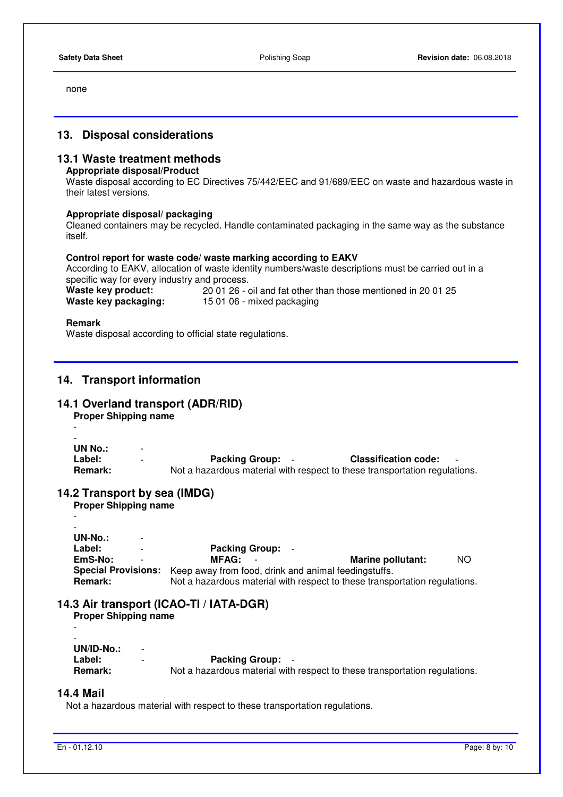none

# **13. Disposal considerations**

# **13.1 Waste treatment methods**

# **Appropriate disposal/Product**

 Waste disposal according to EC Directives 75/442/EEC and 91/689/EEC on waste and hazardous waste in their latest versions.

#### **Appropriate disposal/ packaging**

 Cleaned containers may be recycled. Handle contaminated packaging in the same way as the substance itself.

#### **Control report for waste code/ waste marking according to EAKV**

 According to EAKV, allocation of waste identity numbers/waste descriptions must be carried out in a specific way for every industry and process.<br>Waste key product: 20.01.26 **Waste key product:** 20 01 26 - oil and fat other than those mentioned in 20 01 25

| <b><i>IVASIC KCY PROUDLE</i></b> | 20 UT 20 - UII ANU TALUMEN MANUSE MENUMBU IN 20 V |
|----------------------------------|---------------------------------------------------|
| Waste key packaging:             | 15 01 06 - mixed packaging                        |

#### **Remark**

-

Waste disposal according to official state regulations.

# **14. Transport information**

# **14.1 Overland transport (ADR/RID)**

**Proper Shipping name** 

```
- 
UN No.: - 
Label: - Packing Group: \cdot Classification code: Remark: Notionally a Packing Group: \cdot Classification code: Remark: Notionally a Packing Structure Conducts Classification requ
                                   Not a hazardous material with respect to these transportation regulations.
```
# **14.2 Transport by sea (IMDG)**

| <b>Proper Shipping name</b>         |                                                                            |                   |     |
|-------------------------------------|----------------------------------------------------------------------------|-------------------|-----|
|                                     |                                                                            |                   |     |
|                                     |                                                                            |                   |     |
| UN-No.:<br>$\overline{\phantom{a}}$ |                                                                            |                   |     |
| Label:<br>$\overline{\phantom{a}}$  | <b>Packing Group:</b>                                                      |                   |     |
| EmS-No:                             | <b>MFAG:</b>                                                               | Marine pollutant: | NO. |
| <b>Special Provisions:</b>          | Keep away from food, drink and animal feedingstuffs.                       |                   |     |
| <b>Remark:</b>                      | Not a hazardous material with respect to these transportation regulations. |                   |     |

#### **14.3 Air transport (ICAO-TI / IATA-DGR)**

**Proper Shipping name** 

| $\overline{\phantom{a}}$ |                          |                                                                            |
|--------------------------|--------------------------|----------------------------------------------------------------------------|
|                          |                          |                                                                            |
| UN/ID-No.:               | $\overline{\phantom{0}}$ |                                                                            |
| Label:                   | $\overline{\phantom{0}}$ | <b>Packing Group:</b> -                                                    |
| <b>Remark:</b>           |                          | Not a hazardous material with respect to these transportation regulations. |

#### **14.4 Mail**

Not a hazardous material with respect to these transportation regulations.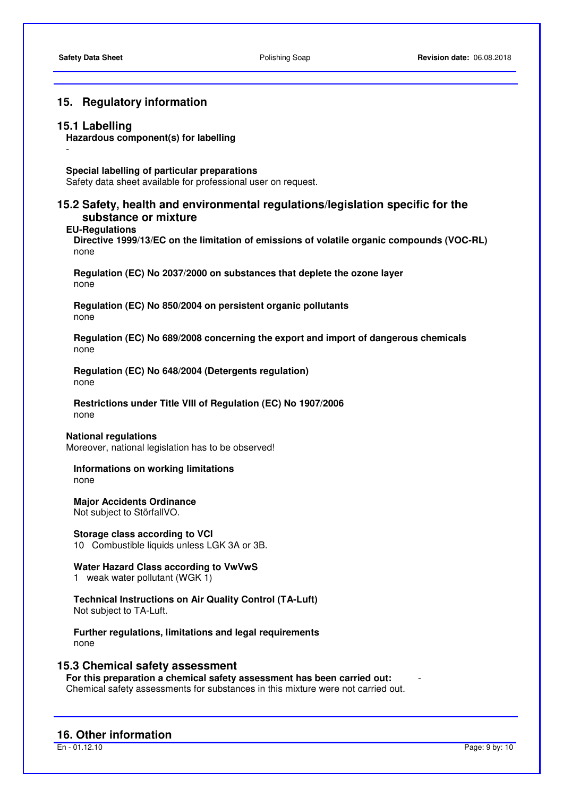# **15. Regulatory information**

#### **15.1 Labelling**

-

#### **Hazardous component(s) for labelling**

#### **Special labelling of particular preparations**

Safety data sheet available for professional user on request.

# **15.2 Safety, health and environmental regulations/legislation specific for the substance or mixture**

#### **EU-Regulations**

**Directive 1999/13/EC on the limitation of emissions of volatile organic compounds (VOC-RL)**  none

**Regulation (EC) No 2037/2000 on substances that deplete the ozone layer**  none

**Regulation (EC) No 850/2004 on persistent organic pollutants**  none

**Regulation (EC) No 689/2008 concerning the export and import of dangerous chemicals**  none

**Regulation (EC) No 648/2004 (Detergents regulation)** none

**Restrictions under Title VIII of Regulation (EC) No 1907/2006**  none

#### **National regulations**

Moreover, national legislation has to be observed!

**Informations on working limitations**  none

**Major Accidents Ordinance**  Not subject to StörfallVO.

**Storage class according to VCI** 

10 Combustible liquids unless LGK 3A or 3B.

#### **Water Hazard Class according to VwVwS**

1 weak water pollutant (WGK 1)

**Technical Instructions on Air Quality Control (TA-Luft)**  Not subject to TA-Luft.

**Further regulations, limitations and legal requirements**  none

#### **15.3 Chemical safety assessment**

**For this preparation a chemical safety assessment has been carried out:** - Chemical safety assessments for substances in this mixture were not carried out.

#### **16. Other information**

En - 01.12.10 Page: 9 by: 10